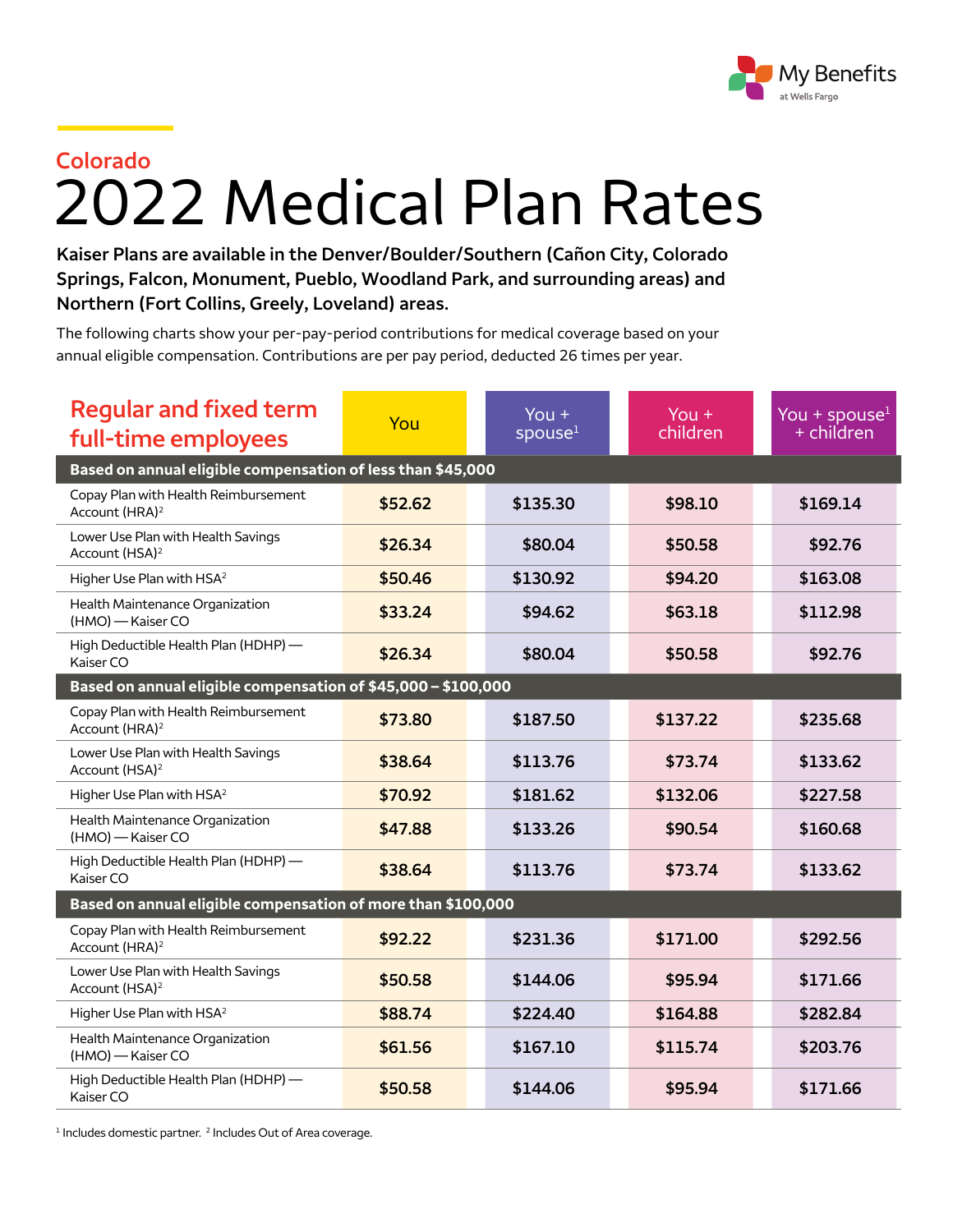

## 2022 Medical Plan Rates **Colorado**

**Kaiser Plans are available in the Denver/Boulder/Southern (Cañon City, Colorado Springs, Falcon, Monument, Pueblo, Woodland Park, and surrounding areas) and Northern (Fort Collins, Greely, Loveland) areas.**

The following charts show your per-pay-period contributions for medical coverage based on your annual eligible compensation. Contributions are per pay period, deducted 26 times per year.

| <b>Regular and fixed term</b><br>full-time employees               | You     | You $+$<br>spouse <sup>1</sup> | You $+$<br>children | You + spouse $1$<br>$+$ children |  |  |  |
|--------------------------------------------------------------------|---------|--------------------------------|---------------------|----------------------------------|--|--|--|
| Based on annual eligible compensation of less than \$45,000        |         |                                |                     |                                  |  |  |  |
| Copay Plan with Health Reimbursement<br>Account (HRA) <sup>2</sup> | \$52.62 | \$135.30                       | \$98.10             | \$169.14                         |  |  |  |
| Lower Use Plan with Health Savings<br>Account (HSA) <sup>2</sup>   | \$26.34 | \$80.04                        | \$50.58             | \$92.76                          |  |  |  |
| Higher Use Plan with HSA <sup>2</sup>                              | \$50.46 | \$130.92                       | \$94.20             | \$163.08                         |  |  |  |
| Health Maintenance Organization<br>(HMO) - Kaiser CO               | \$33.24 | \$94.62                        | \$63.18             | \$112.98                         |  |  |  |
| High Deductible Health Plan (HDHP) -<br>Kaiser CO                  | \$26.34 | \$80.04                        | \$50.58             | \$92.76                          |  |  |  |
| Based on annual eligible compensation of \$45,000 - \$100,000      |         |                                |                     |                                  |  |  |  |
| Copay Plan with Health Reimbursement<br>Account (HRA) <sup>2</sup> | \$73.80 | \$187.50                       | \$137.22            | \$235.68                         |  |  |  |
| Lower Use Plan with Health Savings<br>Account (HSA) <sup>2</sup>   | \$38.64 | \$113.76                       | \$73.74             | \$133.62                         |  |  |  |
| Higher Use Plan with HSA <sup>2</sup>                              | \$70.92 | \$181.62                       | \$132.06            | \$227.58                         |  |  |  |
| Health Maintenance Organization<br>(HMO) - Kaiser CO               | \$47.88 | \$133.26                       | \$90.54             | \$160.68                         |  |  |  |
| High Deductible Health Plan (HDHP) -<br>Kaiser CO                  | \$38.64 | \$113.76                       | \$73.74             | \$133.62                         |  |  |  |
| Based on annual eligible compensation of more than \$100,000       |         |                                |                     |                                  |  |  |  |
| Copay Plan with Health Reimbursement<br>Account (HRA) <sup>2</sup> | \$92.22 | \$231.36                       | \$171.00            | \$292.56                         |  |  |  |
| Lower Use Plan with Health Savings<br>Account (HSA) <sup>2</sup>   | \$50.58 | \$144.06                       | \$95.94             | \$171.66                         |  |  |  |
| Higher Use Plan with HSA <sup>2</sup>                              | \$88.74 | \$224.40                       | \$164.88            | \$282.84                         |  |  |  |
| Health Maintenance Organization<br>(HMO) - Kaiser CO               | \$61.56 | \$167.10                       | \$115.74            | \$203.76                         |  |  |  |
| High Deductible Health Plan (HDHP) -<br>Kaiser CO                  | \$50.58 | \$144.06                       | \$95.94             | \$171.66                         |  |  |  |

<sup>1</sup> Includes domestic partner.<sup>2</sup> Includes Out of Area coverage.